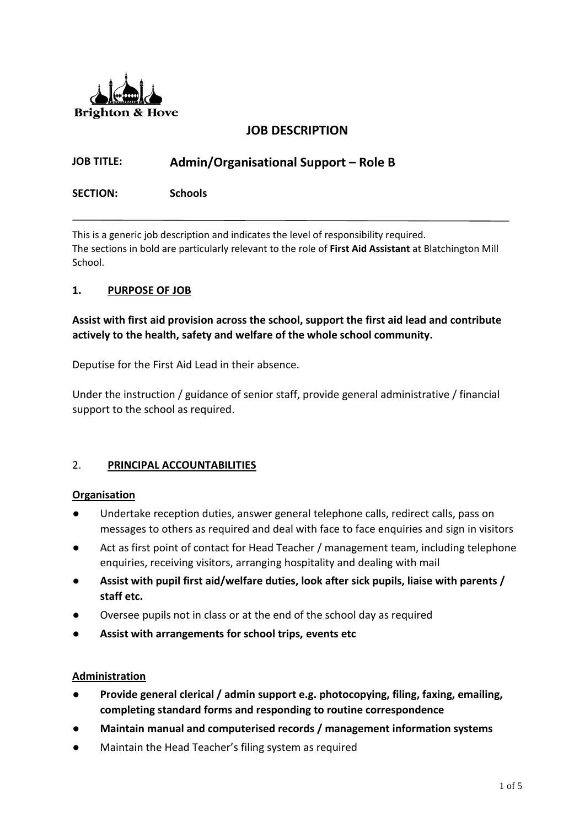

## **JOB DESCRIPTION**

# **JOB TITLE: Admin/Organisational Support – Role B**

**SECTION: Schools**

This is a generic job description and indicates the level of responsibility required. The sections in bold are particularly relevant to the role of **First Aid Assistant** at Blatchington Mill School.

#### **1. PURPOSE OF JOB**

**Assist with first aid provision across the school, support the first aid lead and contribute actively to the health, safety and welfare of the whole school community.**

Deputise for the First Aid Lead in their absence.

Under the instruction / guidance of senior staff, provide general administrative / financial support to the school as required.

#### 2. **PRINCIPAL ACCOUNTABILITIES**

#### **Organisation**

- Undertake reception duties, answer general telephone calls, redirect calls, pass on messages to others as required and deal with face to face enquiries and sign in visitors
- Act as first point of contact for Head Teacher / management team, including telephone enquiries, receiving visitors, arranging hospitality and dealing with mail
- **Assist with pupil first aid/welfare duties, look after sick pupils, liaise with parents / staff etc.**
- Oversee pupils not in class or at the end of the school day as required
- Assist with arrangements for school trips, events etc

#### **Administration**

- **Provide general clerical / admin support e.g. photocopying, filing, faxing, emailing, completing standard forms and responding to routine correspondence**
- **Maintain manual and computerised records / management information systems**
- Maintain the Head Teacher's filing system as required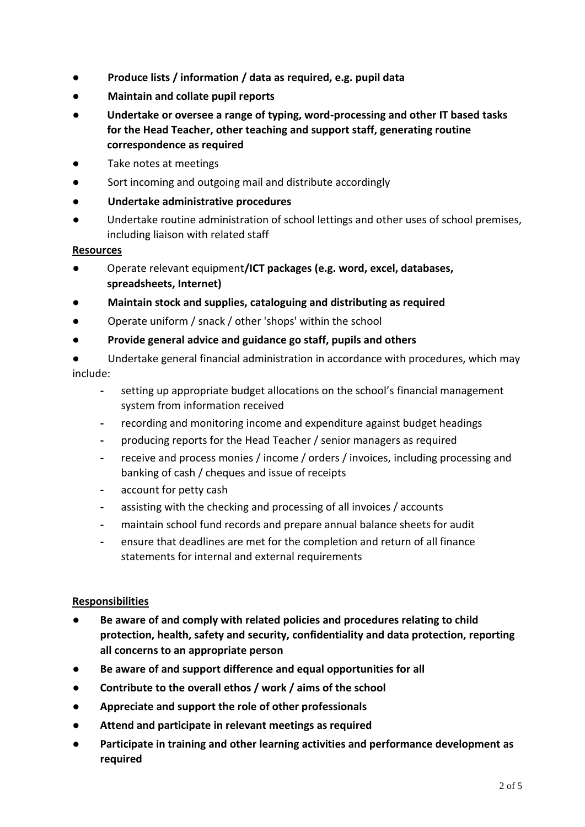- **Produce lists / information / data as required, e.g. pupil data**
- **Maintain and collate pupil reports**
- **Undertake or oversee a range of typing, word-processing and other IT based tasks for the Head Teacher, other teaching and support staff, generating routine correspondence as required**
- Take notes at meetings
- Sort incoming and outgoing mail and distribute accordingly
- **Undertake administrative procedures**
- Undertake routine administration of school lettings and other uses of school premises, including liaison with related staff

#### **Resources**

- Operate relevant equipment**/ICT packages (e.g. word, excel, databases, spreadsheets, Internet)**
- **Maintain stock and supplies, cataloguing and distributing as required**
- Operate uniform / snack / other 'shops' within the school
- **Provide general advice and guidance go staff, pupils and others**
- Undertake general financial administration in accordance with procedures, which may include:
	- **-** setting up appropriate budget allocations on the school's financial management system from information received
	- **-** recording and monitoring income and expenditure against budget headings
	- **-** producing reports for the Head Teacher / senior managers as required
	- **-** receive and process monies / income / orders / invoices, including processing and banking of cash / cheques and issue of receipts
	- **-** account for petty cash
	- **-** assisting with the checking and processing of all invoices / accounts
	- **-** maintain school fund records and prepare annual balance sheets for audit
	- **-** ensure that deadlines are met for the completion and return of all finance statements for internal and external requirements

#### **Responsibilities**

- **Be aware of and comply with related policies and procedures relating to child protection, health, safety and security, confidentiality and data protection, reporting all concerns to an appropriate person**
- Be aware of and support difference and equal opportunities for all
- **Contribute to the overall ethos / work / aims of the school**
- **Appreciate and support the role of other professionals**
- **Attend and participate in relevant meetings as required**
- **Participate in training and other learning activities and performance development as required**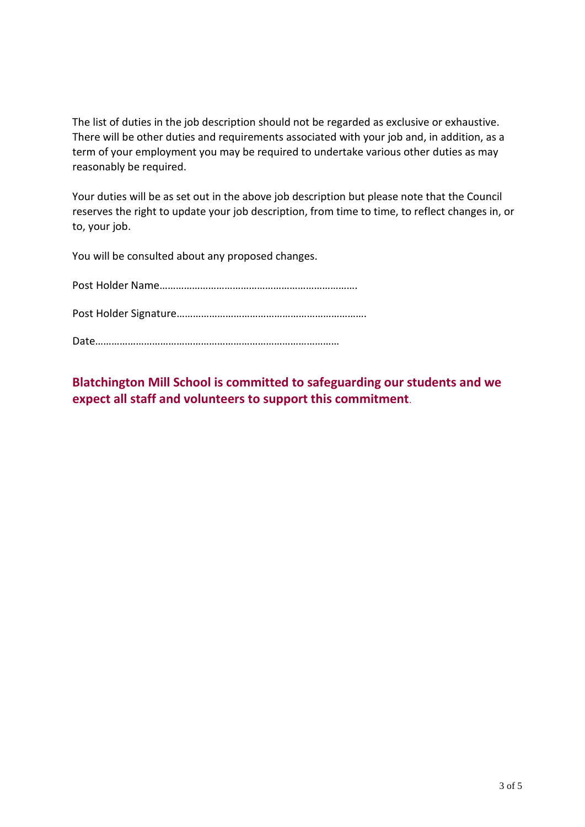The list of duties in the job description should not be regarded as exclusive or exhaustive. There will be other duties and requirements associated with your job and, in addition, as a term of your employment you may be required to undertake various other duties as may reasonably be required.

Your duties will be as set out in the above job description but please note that the Council reserves the right to update your job description, from time to time, to reflect changes in, or to, your job.

You will be consulted about any proposed changes.

**Blatchington Mill School is committed to safeguarding our students and we expect all staff and volunteers to support this commitment**.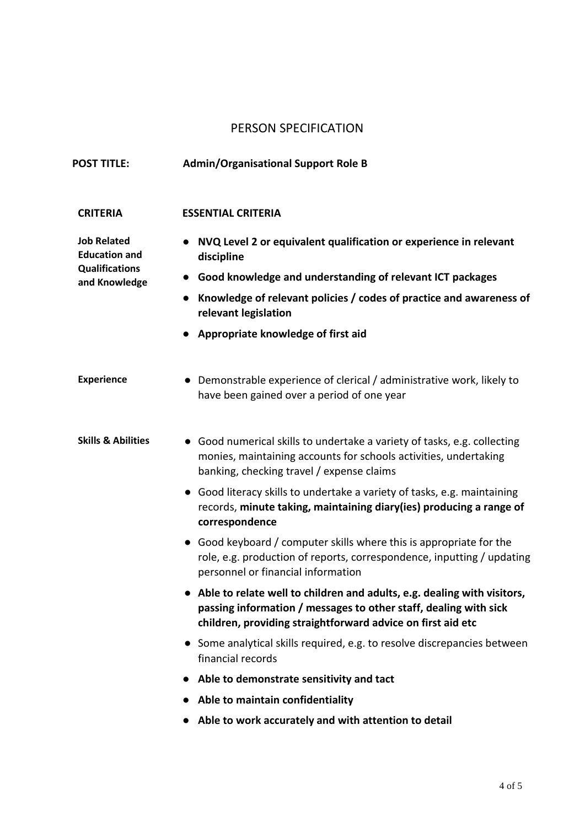## PERSON SPECIFICATION

| <b>POST TITLE:</b>                                                                   | <b>Admin/Organisational Support Role B</b>                                                                                                                                                                                                                                                                                                                     |
|--------------------------------------------------------------------------------------|----------------------------------------------------------------------------------------------------------------------------------------------------------------------------------------------------------------------------------------------------------------------------------------------------------------------------------------------------------------|
| <b>CRITERIA</b>                                                                      | <b>ESSENTIAL CRITERIA</b>                                                                                                                                                                                                                                                                                                                                      |
| <b>Job Related</b><br><b>Education and</b><br><b>Qualifications</b><br>and Knowledge | NVQ Level 2 or equivalent qualification or experience in relevant<br>discipline<br>Good knowledge and understanding of relevant ICT packages<br>Knowledge of relevant policies / codes of practice and awareness of<br>relevant legislation<br>Appropriate knowledge of first aid                                                                              |
| <b>Experience</b>                                                                    | • Demonstrable experience of clerical / administrative work, likely to<br>have been gained over a period of one year                                                                                                                                                                                                                                           |
| <b>Skills &amp; Abilities</b>                                                        | • Good numerical skills to undertake a variety of tasks, e.g. collecting<br>monies, maintaining accounts for schools activities, undertaking<br>banking, checking travel / expense claims<br>• Good literacy skills to undertake a variety of tasks, e.g. maintaining<br>records, minute taking, maintaining diary(ies) producing a range of<br>correspondence |
|                                                                                      | • Good keyboard / computer skills where this is appropriate for the<br>role, e.g. production of reports, correspondence, inputting / updating<br>personnel or financial information                                                                                                                                                                            |
|                                                                                      | • Able to relate well to children and adults, e.g. dealing with visitors,<br>passing information / messages to other staff, dealing with sick<br>children, providing straightforward advice on first aid etc                                                                                                                                                   |
|                                                                                      | Some analytical skills required, e.g. to resolve discrepancies between<br>$\bullet$<br>financial records                                                                                                                                                                                                                                                       |
|                                                                                      | Able to demonstrate sensitivity and tact                                                                                                                                                                                                                                                                                                                       |
|                                                                                      | Able to maintain confidentiality                                                                                                                                                                                                                                                                                                                               |
|                                                                                      | Able to work accurately and with attention to detail                                                                                                                                                                                                                                                                                                           |